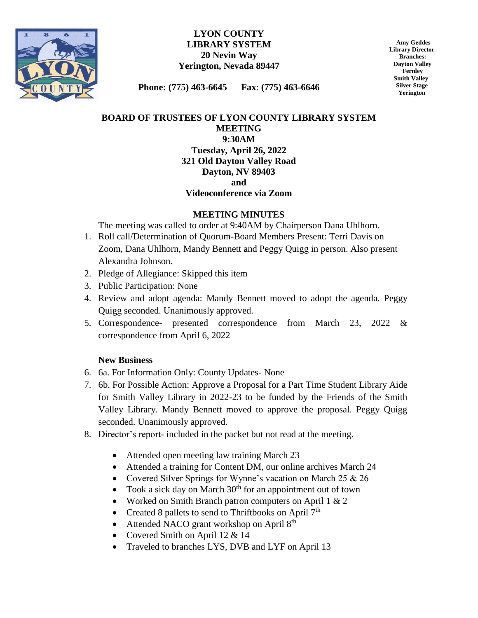

#### **LYON COUNTY LIBRARY SYSTEM 20 Nevin Way Yerington, Nevada 89447**

 **Amy Geddes Library Director Branches: Dayton Valley Fernley Smith Valley Silver Stage Yerington**

**Phone: (775) 463-6645 Fax**: **(775) 463-6646**

## **BOARD OF TRUSTEES OF LYON COUNTY LIBRARY SYSTEM MEETING 9:30AM Tuesday, April 26, 2022 321 Old Dayton Valley Road Dayton, NV 89403 and**

# **Videoconference via Zoom**

### **MEETING MINUTES**

The meeting was called to order at 9:40AM by Chairperson Dana Uhlhorn.

- 1. Roll call/Determination of Quorum-Board Members Present: Terri Davis on Zoom, Dana Uhlhorn, Mandy Bennett and Peggy Quigg in person. Also present Alexandra Johnson.
- 2. Pledge of Allegiance: Skipped this item
- 3. Public Participation: None
- 4. Review and adopt agenda: Mandy Bennett moved to adopt the agenda. Peggy Quigg seconded. Unanimously approved.
- 5. Correspondence- presented correspondence from March 23, 2022 & correspondence from April 6, 2022

### **New Business**

- 6. 6a. For Information Only: County Updates- None
- 7. 6b. For Possible Action: Approve a Proposal for a Part Time Student Library Aide for Smith Valley Library in 2022-23 to be funded by the Friends of the Smith Valley Library. Mandy Bennett moved to approve the proposal. Peggy Quigg seconded. Unanimously approved.
- 8. Director's report- included in the packet but not read at the meeting.
	- Attended open meeting law training March 23
	- Attended a training for Content DM, our online archives March 24
	- Covered Silver Springs for Wynne's vacation on March 25 & 26
	- Took a sick day on March  $30<sup>th</sup>$  for an appointment out of town
	- Worked on Smith Branch patron computers on April  $1 \& 2$
	- Created 8 pallets to send to Thriftbooks on April  $7<sup>th</sup>$
	- $\bullet$  Attended NACO grant workshop on April  $8<sup>th</sup>$
	- Covered Smith on April 12 & 14
	- Traveled to branches LYS, DVB and LYF on April 13